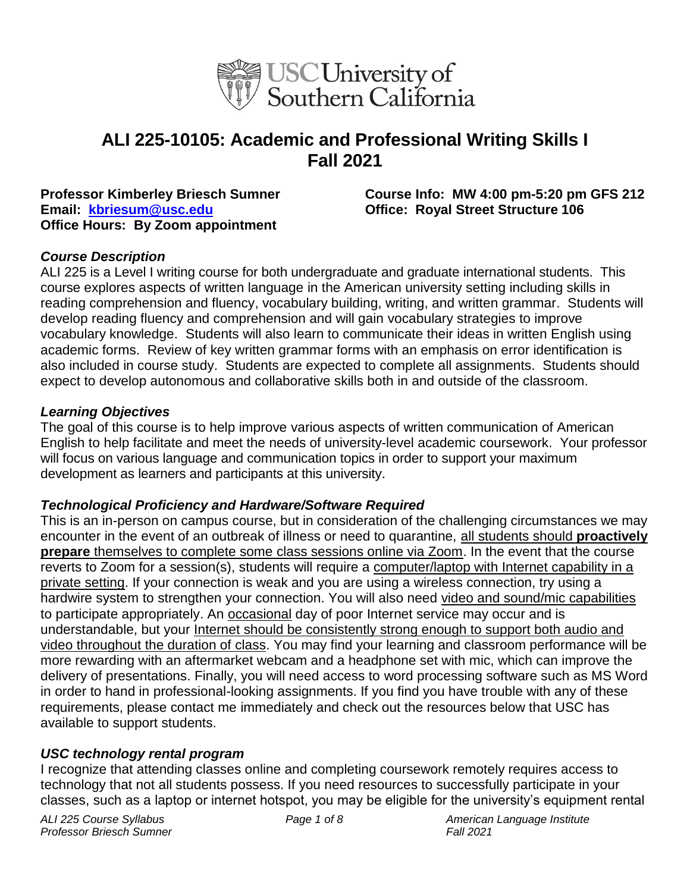

# **ALI 225-10105: Academic and Professional Writing Skills I Fall 2021**

**Email: [kbriesum@usc.edu](mailto:kbriesum@usc.edu) Office: Royal Street Structure 106 Office Hours: By Zoom appointment**

**Professor Kimberley Briesch Sumner Course Info: MW 4:00 pm-5:20 pm GFS 212**

#### *Course Description*

ALI 225 is a Level I writing course for both undergraduate and graduate international students. This course explores aspects of written language in the American university setting including skills in reading comprehension and fluency, vocabulary building, writing, and written grammar. Students will develop reading fluency and comprehension and will gain vocabulary strategies to improve vocabulary knowledge. Students will also learn to communicate their ideas in written English using academic forms. Review of key written grammar forms with an emphasis on error identification is also included in course study. Students are expected to complete all assignments. Students should expect to develop autonomous and collaborative skills both in and outside of the classroom.

#### *Learning Objectives*

The goal of this course is to help improve various aspects of written communication of American English to help facilitate and meet the needs of university-level academic coursework. Your professor will focus on various language and communication topics in order to support your maximum development as learners and participants at this university.

#### *Technological Proficiency and Hardware/Software Required*

This is an in-person on campus course, but in consideration of the challenging circumstances we may encounter in the event of an outbreak of illness or need to quarantine, all students should **proactively prepare** themselves to complete some class sessions online via Zoom. In the event that the course reverts to Zoom for a session(s), students will require a computer/laptop with Internet capability in a private setting. If your connection is weak and you are using a wireless connection, try using a hardwire system to strengthen your connection. You will also need video and sound/mic capabilities to participate appropriately. An occasional day of poor Internet service may occur and is understandable, but your Internet should be consistently strong enough to support both audio and video throughout the duration of class. You may find your learning and classroom performance will be more rewarding with an aftermarket webcam and a headphone set with mic, which can improve the delivery of presentations. Finally, you will need access to word processing software such as MS Word in order to hand in professional-looking assignments. If you find you have trouble with any of these requirements, please contact me immediately and check out the resources below that USC has available to support students.

#### *USC technology rental program*

I recognize that attending classes online and completing coursework remotely requires access to technology that not all students possess. If you need resources to successfully participate in your classes, such as a laptop or internet hotspot, you may be eligible for the university's equipment rental

*Professor Briesch Sumner Fall 2021*

*ALI 225 Course Syllabus Page 1 of 8 American Language Institute*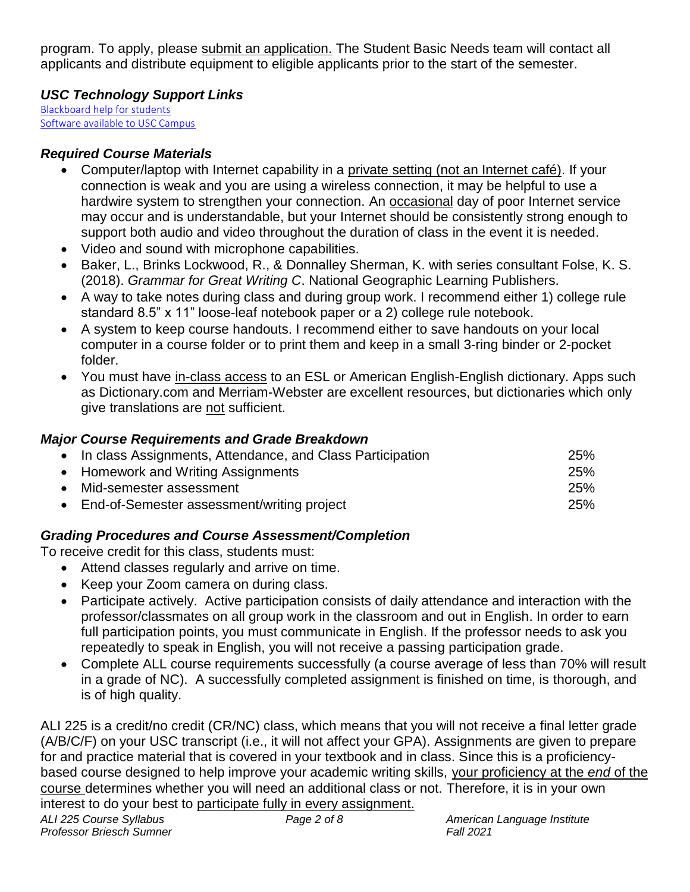program. To apply, please [submit an application.](https://studentbasicneeds.usc.edu/resources/technology-assistance/) The Student Basic Needs team will contact all applicants and distribute equipment to eligible applicants prior to the start of the semester.

## *USC Technology Support Links*

[Blackboard help for students](https://studentblackboardhelp.usc.edu/) [Software available to USC Campus](https://software.usc.edu/)

## *Required Course Materials*

- Computer/laptop with Internet capability in a private setting (not an Internet café). If your connection is weak and you are using a wireless connection, it may be helpful to use a hardwire system to strengthen your connection. An occasional day of poor Internet service may occur and is understandable, but your Internet should be consistently strong enough to support both audio and video throughout the duration of class in the event it is needed.
- Video and sound with microphone capabilities.
- Baker, L., Brinks Lockwood, R., & Donnalley Sherman, K. with series consultant Folse, K. S. (2018). *Grammar for Great Writing C*. National Geographic Learning Publishers.
- A way to take notes during class and during group work. I recommend either 1) college rule standard 8.5" x 11" loose-leaf notebook paper or a 2) college rule notebook.
- A system to keep course handouts. I recommend either to save handouts on your local computer in a course folder or to print them and keep in a small 3-ring binder or 2-pocket folder.
- You must have in-class access to an ESL or American English-English dictionary. Apps such as Dictionary.com and Merriam-Webster are excellent resources, but dictionaries which only give translations are not sufficient.

## *Major Course Requirements and Grade Breakdown*

| • In class Assignments, Attendance, and Class Participation | 25% |
|-------------------------------------------------------------|-----|
| • Homework and Writing Assignments                          | 25% |
| • Mid-semester assessment                                   | 25% |
| • End-of-Semester assessment/writing project                | 25% |

## *Grading Procedures and Course Assessment/Completion*

To receive credit for this class, students must:

- Attend classes regularly and arrive on time.
- Keep your Zoom camera on during class.
- Participate actively. Active participation consists of daily attendance and interaction with the professor/classmates on all group work in the classroom and out in English. In order to earn full participation points, you must communicate in English. If the professor needs to ask you repeatedly to speak in English, you will not receive a passing participation grade.
- Complete ALL course requirements successfully (a course average of less than 70% will result in a grade of NC). A successfully completed assignment is finished on time, is thorough, and is of high quality.

ALI 225 is a credit/no credit (CR/NC) class, which means that you will not receive a final letter grade (A/B/C/F) on your USC transcript (i.e., it will not affect your GPA). Assignments are given to prepare for and practice material that is covered in your textbook and in class. Since this is a proficiencybased course designed to help improve your academic writing skills, your proficiency at the *end* of the course determines whether you will need an additional class or not. Therefore, it is in your own interest to do your best to participate fully in every assignment.

*Professor Briesch Sumner Fall 2021*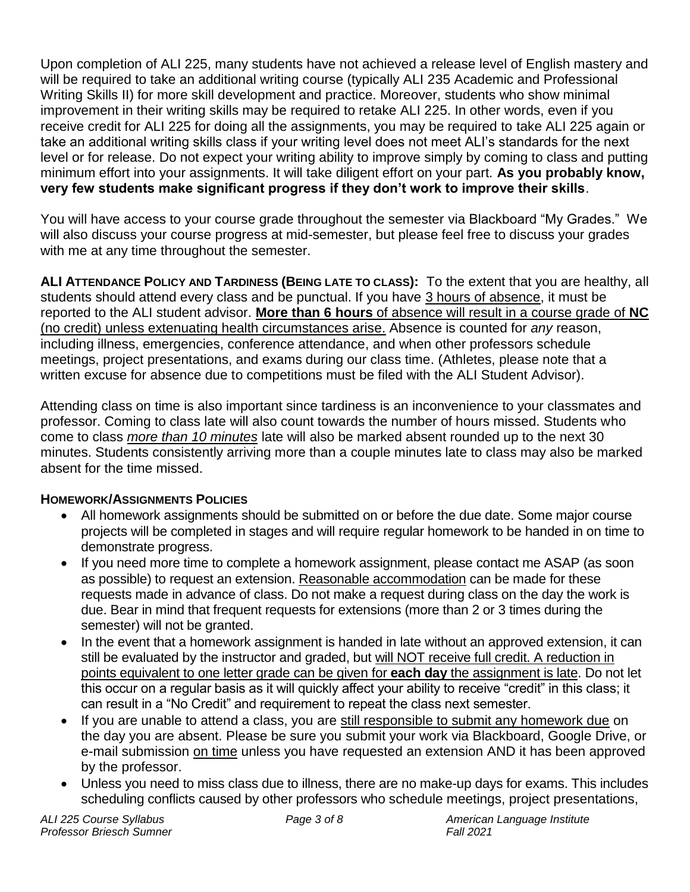Upon completion of ALI 225, many students have not achieved a release level of English mastery and will be required to take an additional writing course (typically ALI 235 Academic and Professional Writing Skills II) for more skill development and practice. Moreover, students who show minimal improvement in their writing skills may be required to retake ALI 225. In other words, even if you receive credit for ALI 225 for doing all the assignments, you may be required to take ALI 225 again or take an additional writing skills class if your writing level does not meet ALI's standards for the next level or for release. Do not expect your writing ability to improve simply by coming to class and putting minimum effort into your assignments. It will take diligent effort on your part. **As you probably know, very few students make significant progress if they don't work to improve their skills**.

You will have access to your course grade throughout the semester via Blackboard "My Grades." We will also discuss your course progress at mid-semester, but please feel free to discuss your grades with me at any time throughout the semester.

**ALI ATTENDANCE POLICY AND TARDINESS (BEING LATE TO CLASS):** To the extent that you are healthy, all students should attend every class and be punctual. If you have 3 hours of absence, it must be reported to the ALI student advisor. **More than 6 hours** of absence will result in a course grade of **NC** (no credit) unless extenuating health circumstances arise. Absence is counted for *any* reason, including illness, emergencies, conference attendance, and when other professors schedule meetings, project presentations, and exams during our class time. (Athletes, please note that a written excuse for absence due to competitions must be filed with the ALI Student Advisor).

Attending class on time is also important since tardiness is an inconvenience to your classmates and professor. Coming to class late will also count towards the number of hours missed. Students who come to class *more than 10 minutes* late will also be marked absent rounded up to the next 30 minutes. Students consistently arriving more than a couple minutes late to class may also be marked absent for the time missed.

## **HOMEWORK/ASSIGNMENTS POLICIES**

- All homework assignments should be submitted on or before the due date. Some major course projects will be completed in stages and will require regular homework to be handed in on time to demonstrate progress.
- If you need more time to complete a homework assignment, please contact me ASAP (as soon as possible) to request an extension. Reasonable accommodation can be made for these requests made in advance of class. Do not make a request during class on the day the work is due. Bear in mind that frequent requests for extensions (more than 2 or 3 times during the semester) will not be granted.
- In the event that a homework assignment is handed in late without an approved extension, it can still be evaluated by the instructor and graded, but will NOT receive full credit. A reduction in points equivalent to one letter grade can be given for **each day** the assignment is late. Do not let this occur on a regular basis as it will quickly affect your ability to receive "credit" in this class; it can result in a "No Credit" and requirement to repeat the class next semester.
- If you are unable to attend a class, you are still responsible to submit any homework due on the day you are absent. Please be sure you submit your work via Blackboard, Google Drive, or e-mail submission on time unless you have requested an extension AND it has been approved by the professor.
- Unless you need to miss class due to illness, there are no make-up days for exams. This includes scheduling conflicts caused by other professors who schedule meetings, project presentations,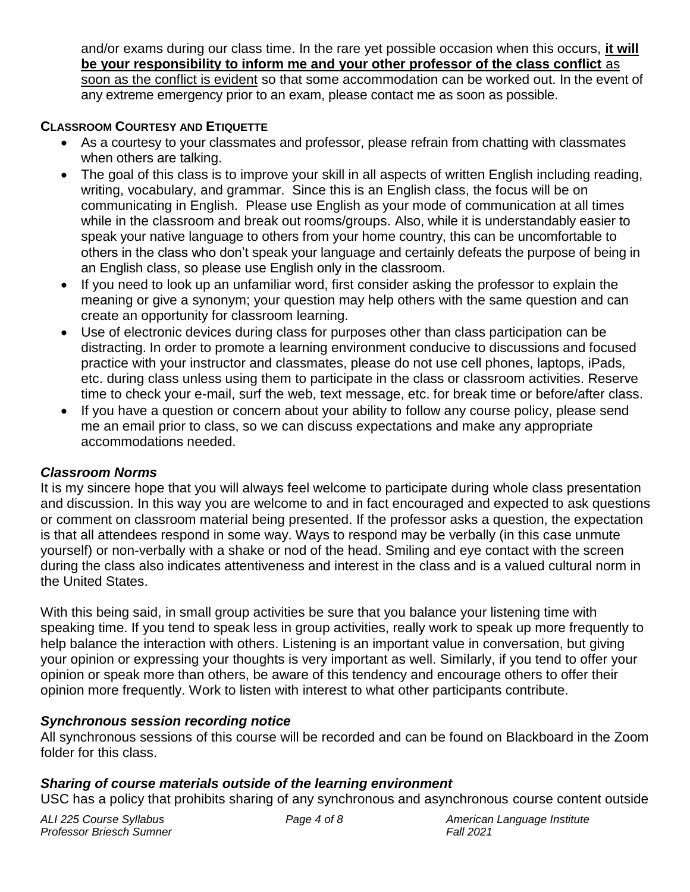and/or exams during our class time. In the rare yet possible occasion when this occurs, **it will be your responsibility to inform me and your other professor of the class conflict** as soon as the conflict is evident so that some accommodation can be worked out. In the event of any extreme emergency prior to an exam, please contact me as soon as possible.

#### **CLASSROOM COURTESY AND ETIQUETTE**

- As a courtesy to your classmates and professor, please refrain from chatting with classmates when others are talking.
- The goal of this class is to improve your skill in all aspects of written English including reading, writing, vocabulary, and grammar. Since this is an English class, the focus will be on communicating in English. Please use English as your mode of communication at all times while in the classroom and break out rooms/groups. Also, while it is understandably easier to speak your native language to others from your home country, this can be uncomfortable to others in the class who don't speak your language and certainly defeats the purpose of being in an English class, so please use English only in the classroom.
- If you need to look up an unfamiliar word, first consider asking the professor to explain the meaning or give a synonym; your question may help others with the same question and can create an opportunity for classroom learning.
- Use of electronic devices during class for purposes other than class participation can be distracting. In order to promote a learning environment conducive to discussions and focused practice with your instructor and classmates, please do not use cell phones, laptops, iPads, etc. during class unless using them to participate in the class or classroom activities. Reserve time to check your e-mail, surf the web, text message, etc. for break time or before/after class.
- If you have a question or concern about your ability to follow any course policy, please send me an email prior to class, so we can discuss expectations and make any appropriate accommodations needed.

#### *Classroom Norms*

It is my sincere hope that you will always feel welcome to participate during whole class presentation and discussion. In this way you are welcome to and in fact encouraged and expected to ask questions or comment on classroom material being presented. If the professor asks a question, the expectation is that all attendees respond in some way. Ways to respond may be verbally (in this case unmute yourself) or non-verbally with a shake or nod of the head. Smiling and eye contact with the screen during the class also indicates attentiveness and interest in the class and is a valued cultural norm in the United States.

With this being said, in small group activities be sure that you balance your listening time with speaking time. If you tend to speak less in group activities, really work to speak up more frequently to help balance the interaction with others. Listening is an important value in conversation, but giving your opinion or expressing your thoughts is very important as well. Similarly, if you tend to offer your opinion or speak more than others, be aware of this tendency and encourage others to offer their opinion more frequently. Work to listen with interest to what other participants contribute.

### *Synchronous session recording notice*

All synchronous sessions of this course will be recorded and can be found on Blackboard in the Zoom folder for this class.

#### *Sharing of course materials outside of the learning environment*

USC has a policy that prohibits sharing of any synchronous and asynchronous course content outside

*Professor Briesch Sumner Fall 2021*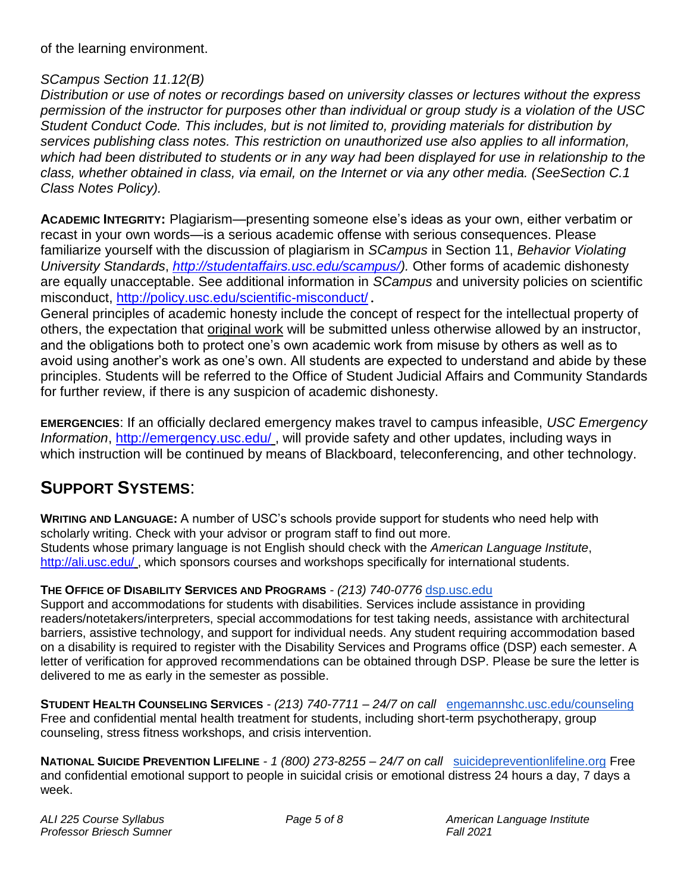of the learning environment.

#### *SCampus Section 11.12(B)*

*Distribution or use of notes or recordings based on university classes or lectures without the express permission of the instructor for purposes other than individual or group study is a violation of the USC Student Conduct Code. This includes, but is not limited to, providing materials for distribution by services publishing class notes. This restriction on unauthorized use also applies to all information, which had been distributed to students or in any way had been displayed for use in relationship to the class, whether obtained in class, via email, on the Internet or via any other media. (SeeSection C.1 Class Notes Policy).*

**ACADEMIC INTEGRITY:** Plagiarism—presenting someone else's ideas as your own, either verbatim or recast in your own words—is a serious academic offense with serious consequences. Please familiarize yourself with the discussion of plagiarism in *SCampus* in Section 11, *Behavior Violating University Standards*, *[http://studentaffairs.usc.edu/scampus/\)](http://studentaffairs.usc.edu/scampus/).* Other forms of academic dishonesty are equally unacceptable. See additional information in *SCampus* and university policies on scientific misconduct,<http://policy.usc.edu/scientific-misconduct/>.

General principles of academic honesty include the concept of respect for the intellectual property of others, the expectation that original work will be submitted unless otherwise allowed by an instructor, and the obligations both to protect one's own academic work from misuse by others as well as to avoid using another's work as one's own. All students are expected to understand and abide by these principles. Students will be referred to the Office of Student Judicial Affairs and Community Standards for further review, if there is any suspicion of academic dishonesty.

**EMERGENCIES**: If an officially declared emergency makes travel to campus infeasible, *USC Emergency Information*, <http://emergency.usc.edu/> , will provide safety and other updates, including ways in which instruction will be continued by means of Blackboard, teleconferencing, and other technology.

## **SUPPORT SYSTEMS**:

**WRITING AND LANGUAGE:** A number of USC's schools provide support for students who need help with scholarly writing. Check with your advisor or program staff to find out more. Students whose primary language is not English should check with the *American Language Institute*, [http://ali.usc.edu/](http://dornsife.usc.edu/ali) , which sponsors courses and workshops specifically for international students.

#### **THE OFFICE OF DISABILITY SERVICES AND PROGRAMS** *- (213) 740-0776* [dsp.usc.edu](http://dsp.usc.edu/)

Support and accommodations for students with disabilities. Services include assistance in providing readers/notetakers/interpreters, special accommodations for test taking needs, assistance with architectural barriers, assistive technology, and support for individual needs. Any student requiring accommodation based on a disability is required to register with the Disability Services and Programs office (DSP) each semester. A letter of verification for approved recommendations can be obtained through DSP. Please be sure the letter is delivered to me as early in the semester as possible.

**STUDENT HEALTH COUNSELING SERVICES** *- (213) 740-7711 – 24/7 on call* [engemannshc.usc.edu/counseling](https://engemannshc.usc.edu/counseling/) Free and confidential mental health treatment for students, including short-term psychotherapy, group counseling, stress fitness workshops, and crisis intervention.

**NATIONAL SUICIDE PREVENTION LIFELINE** *- 1 (800) 273-8255 – 24/7 on call* [suicidepreventionlifeline.org](http://www.suicidepreventionlifeline.org/) Free and confidential emotional support to people in suicidal crisis or emotional distress 24 hours a day, 7 days a week.

| ALI 225 Course Syllabus  | Page 5 of 8 | Americar         |
|--------------------------|-------------|------------------|
| Professor Briesch Sumner |             | <b>Fall 2021</b> |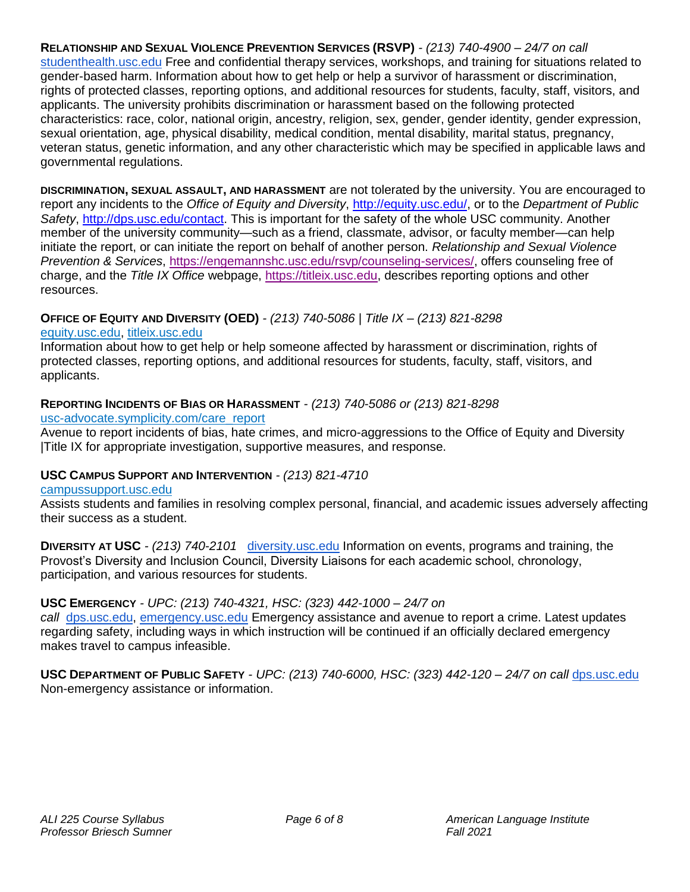**RELATIONSHIP AND SEXUAL VIOLENCE PREVENTION SERVICES (RSVP)** *- (213) 740-4900 – 24/7 on call*  studenthealth.usc.edu Free and confidential therapy services, workshops, and training for situations related to gender-based harm. Information about how to get help or help a survivor of harassment or discrimination, rights of protected classes, reporting options, and additional resources for students, faculty, staff, visitors, and applicants. The university prohibits discrimination or harassment based on the following protected characteristics: race, color, national origin, ancestry, religion, sex, gender, gender identity, gender expression, sexual orientation, age, physical disability, medical condition, mental disability, marital status, pregnancy, veteran status, genetic information, and any other characteristic which may be specified in applicable laws and governmental regulations.

**DISCRIMINATION, SEXUAL ASSAULT, AND HARASSMENT** are not tolerated by the university. You are encouraged to report any incidents to the *Office of Equity and Diversity*, [http://equity.usc.edu/,](http://equity.usc.edu/) or to the *Department of Public Safety*, [http://dps.usc.edu/contact.](http://dps.usc.edu/contact) This is important for the safety of the whole USC community. Another member of the university community—such as a friend, classmate, advisor, or faculty member—can help initiate the report, or can initiate the report on behalf of another person. *Relationship and Sexual Violence Prevention & Services*, [https://engemannshc.usc.edu/rsvp/counseling-services/,](https://engemannshc.usc.edu/rsvp/counseling-services/) offers counseling free of charge, and the *Title IX Office* webpage, [https://titleix.usc.edu,](https://titleix.usc.edu/) describes reporting options and other resources.

#### **OFFICE OF EQUITY AND DIVERSITY (OED)** *- (213) 740-5086 | Title IX – (213) 821-8298*

#### [equity.usc.edu,](https://equity.usc.edu/) [titleix.usc.edu](http://titleix.usc.edu/)

Information about how to get help or help someone affected by harassment or discrimination, rights of protected classes, reporting options, and additional resources for students, faculty, staff, visitors, and applicants.

#### **REPORTING INCIDENTS OF BIAS OR HARASSMENT** *- (213) 740-5086 or (213) 821-8298*

#### [usc-advocate.symplicity.com/care\\_report](https://usc-advocate.symplicity.com/care_report/)

Avenue to report incidents of bias, hate crimes, and micro-aggressions to the Office of Equity and Diversity |Title IX for appropriate investigation, supportive measures, and response[.](https://studentaffairs.usc.edu/bias-assessment-response-support/)

#### **USC CAMPUS SUPPORT AND INTERVENTION** *- (213) 821-4710*

#### [campussupport.usc.edu](https://campussupport.usc.edu/)

Assists students and families in resolving complex personal, financial, and academic issues adversely affecting their success as a student.

**DIVERSITY AT USC** *- (213) 740-2101* [diversity.usc.edu](https://diversity.usc.edu/) Information on events, programs and training, the Provost's Diversity and Inclusion Council, Diversity Liaisons for each academic school, chronology, participation, and various resources for students.

#### **USC EMERGENCY** *- UPC: (213) 740-4321, HSC: (323) 442-1000 – 24/7 on*

*call* [dps.usc.edu,](http://dps.usc.edu/) [emergency.usc.edu](http://emergency.usc.edu/) Emergency assistance and avenue to report a crime. Latest updates regarding safety, including ways in which instruction will be continued if an officially declared emergency makes travel to campus infeasible.

**USC DEPARTMENT OF PUBLIC SAFETY** *- UPC: (213) 740-6000, HSC: (323) 442-120 – 24/7 on call* [dps.usc.edu](http://dps.usc.edu/) Non-emergency assistance or information.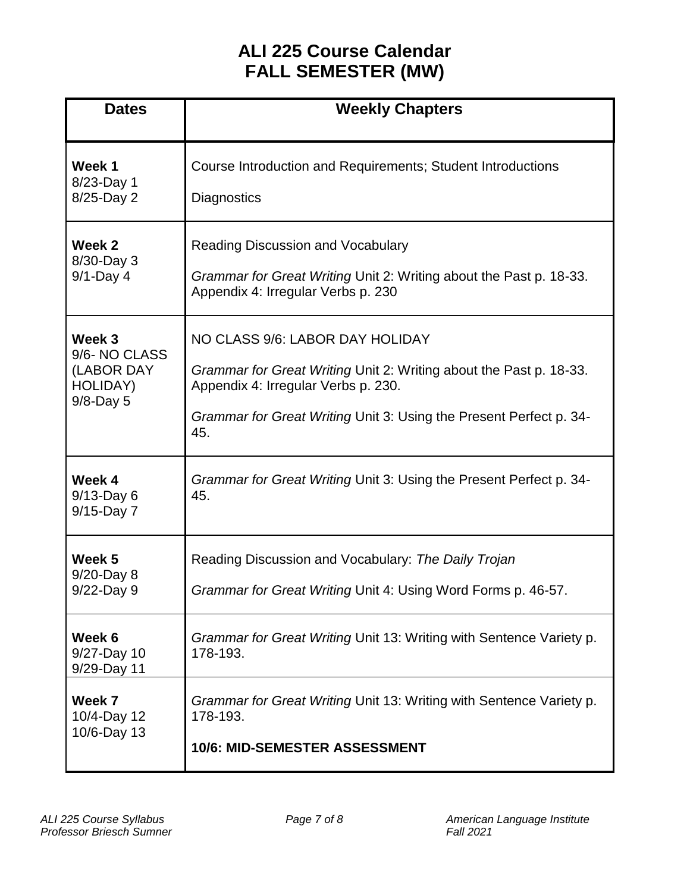# **ALI 225 Course Calendar FALL SEMESTER (MW)**

| <b>Dates</b>                                                            | <b>Weekly Chapters</b>                                                                                                                                                                                                    |
|-------------------------------------------------------------------------|---------------------------------------------------------------------------------------------------------------------------------------------------------------------------------------------------------------------------|
| Week 1<br>8/23-Day 1<br>8/25-Day 2                                      | Course Introduction and Requirements; Student Introductions<br><b>Diagnostics</b>                                                                                                                                         |
| Week 2<br>8/30-Day 3<br>$9/1$ -Day 4                                    | <b>Reading Discussion and Vocabulary</b><br>Grammar for Great Writing Unit 2: Writing about the Past p. 18-33.<br>Appendix 4: Irregular Verbs p. 230                                                                      |
| Week 3<br>9/6-NO CLASS<br>(LABOR DAY<br><b>HOLIDAY)</b><br>$9/8$ -Day 5 | NO CLASS 9/6: LABOR DAY HOLIDAY<br>Grammar for Great Writing Unit 2: Writing about the Past p. 18-33.<br>Appendix 4: Irregular Verbs p. 230.<br>Grammar for Great Writing Unit 3: Using the Present Perfect p. 34-<br>45. |
| Week 4<br>$9/13$ -Day 6<br>9/15-Day 7                                   | Grammar for Great Writing Unit 3: Using the Present Perfect p. 34-<br>45.                                                                                                                                                 |
| Week 5<br>9/20-Day 8<br>9/22-Day 9                                      | Reading Discussion and Vocabulary: The Daily Trojan<br>Grammar for Great Writing Unit 4: Using Word Forms p. 46-57.                                                                                                       |
| Week 6<br>9/27-Day 10<br>9/29-Day 11                                    | Grammar for Great Writing Unit 13: Writing with Sentence Variety p.<br>178-193.                                                                                                                                           |
| Week 7<br>10/4-Day 12<br>10/6-Day 13                                    | Grammar for Great Writing Unit 13: Writing with Sentence Variety p.<br>178-193.<br><b>10/6: MID-SEMESTER ASSESSMENT</b>                                                                                                   |